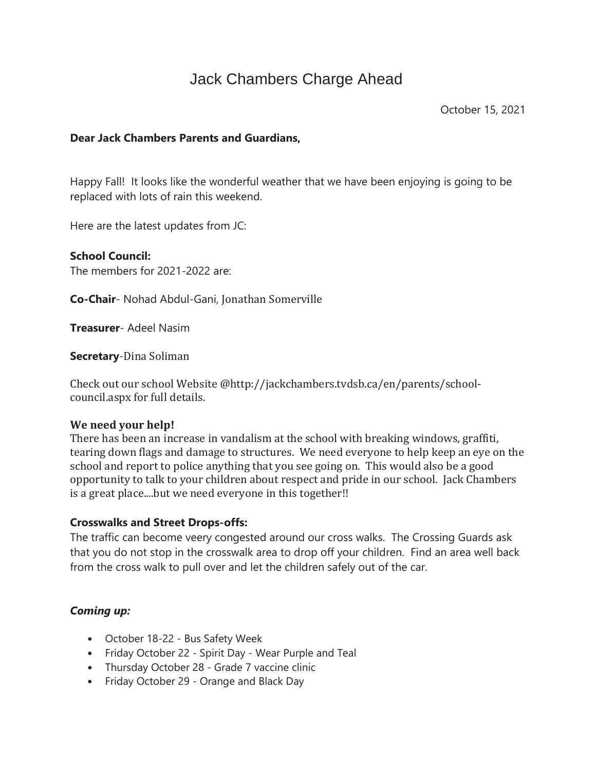# Jack Chambers Charge Ahead

### **Dear Jack Chambers Parents and Guardians,**

Happy Fall! It looks like the wonderful weather that we have been enjoying is going to be replaced with lots of rain this weekend.

Here are the latest updates from JC:

**School Council:** The members for 2021-2022 are:

**Co-Chair**- Nohad Abdul-Gani, Jonathan Somerville

**Treasurer**- Adeel Nasim

**Secretary**-Dina Soliman

Check out our school Website @http://jackchambers.tvdsb.ca/en/parents/schoolcouncil.aspx for full details.

### **We need your help!**

There has been an increase in vandalism at the school with breaking windows, graffiti, tearing down flags and damage to structures. We need everyone to help keep an eye on the school and report to police anything that you see going on. This would also be a good opportunity to talk to your children about respect and pride in our school. Jack Chambers is a great place....but we need everyone in this together!!

### **Crosswalks and Street Drops-offs:**

The traffic can become veery congested around our cross walks. The Crossing Guards ask that you do not stop in the crosswalk area to drop off your children. Find an area well back from the cross walk to pull over and let the children safely out of the car.

### *Coming up:*

- October 18-22 Bus Safety Week
- Friday October 22 Spirit Day Wear Purple and Teal
- Thursday October 28 Grade 7 vaccine clinic
- Friday October 29 Orange and Black Day